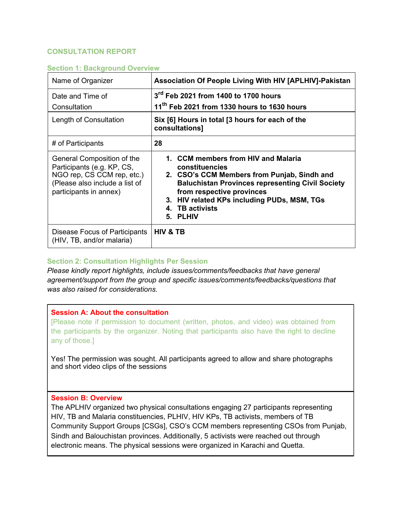### **CONSULTATION REPORT**

| Name of Organizer                                                                                                                                  | <b>Association Of People Living With HIV [APLHIV]-Pakistan</b>                                                                                                                                                                                                             |
|----------------------------------------------------------------------------------------------------------------------------------------------------|----------------------------------------------------------------------------------------------------------------------------------------------------------------------------------------------------------------------------------------------------------------------------|
| Date and Time of<br>Consultation                                                                                                                   | 3rd Feb 2021 from 1400 to 1700 hours<br>11 <sup>th</sup> Feb 2021 from 1330 hours to 1630 hours                                                                                                                                                                            |
| Length of Consultation                                                                                                                             | Six [6] Hours in total [3 hours for each of the<br>consultations]                                                                                                                                                                                                          |
| # of Participants                                                                                                                                  | 28                                                                                                                                                                                                                                                                         |
| General Composition of the<br>Participants (e.g. KP, CS,<br>NGO rep, CS CCM rep, etc.)<br>(Please also include a list of<br>participants in annex) | 1. CCM members from HIV and Malaria<br>constituencies<br>2. CSO's CCM Members from Punjab, Sindh and<br><b>Baluchistan Provinces representing Civil Society</b><br>from respective provinces<br>3. HIV related KPs including PUDs, MSM, TGs<br>4. TB activists<br>5. PLHIV |
| Disease Focus of Participants<br>(HIV, TB, and/or malaria)                                                                                         | <b>HIV &amp; TB</b>                                                                                                                                                                                                                                                        |

#### **Section 1: Background Overview**

### **Section 2: Consultation Highlights Per Session**

*Please kindly report highlights, include issues/comments/feedbacks that have general agreement/support from the group and specific issues/comments/feedbacks/questions that was also raised for considerations.* 

## **Session A: About the consultation**

[Please note if permission to document (written, photos, and video) was obtained from the participants by the organizer. Noting that participants also have the right to decline any of those.]

Yes! The permission was sought. All participants agreed to allow and share photographs and short video clips of the sessions

#### **Session B: Overview**

The APLHIV organized two physical consultations engaging 27 participants representing HIV, TB and Malaria constituencies, PLHIV, HIV KPs, TB activists, members of TB Community Support Groups [CSGs], CSO's CCM members representing CSOs from Punjab, Sindh and Balouchistan provinces. Additionally, 5 activists were reached out through electronic means. The physical sessions were organized in Karachi and Quetta.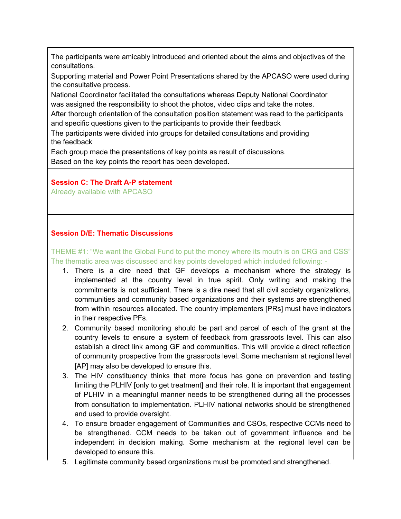The participants were amicably introduced and oriented about the aims and objectives of the consultations.

Supporting material and Power Point Presentations shared by the APCASO were used during the consultative process.

National Coordinator facilitated the consultations whereas Deputy National Coordinator was assigned the responsibility to shoot the photos, video clips and take the notes.

After thorough orientation of the consultation position statement was read to the participants and specific questions given to the participants to provide their feedback

The participants were divided into groups for detailed consultations and providing the feedback

Each group made the presentations of key points as result of discussions.

Based on the key points the report has been developed.

## **Session C: The Draft A-P statement**

Already available with APCASO

## **Session D/E: Thematic Discussions**

THEME #1: "We want the Global Fund to put the money where its mouth is on CRG and CSS" The thematic area was discussed and key points developed which included following: -

- 1. There is a dire need that GF develops a mechanism where the strategy is implemented at the country level in true spirit. Only writing and making the commitments is not sufficient. There is a dire need that all civil society organizations, communities and community based organizations and their systems are strengthened from within resources allocated. The country implementers [PRs] must have indicators in their respective PFs.
- 2. Community based monitoring should be part and parcel of each of the grant at the country levels to ensure a system of feedback from grassroots level. This can also establish a direct link among GF and communities. This will provide a direct reflection of community prospective from the grassroots level. Some mechanism at regional level [AP] may also be developed to ensure this.
- 3. The HIV constituency thinks that more focus has gone on prevention and testing limiting the PLHIV [only to get treatment] and their role. It is important that engagement of PLHIV in a meaningful manner needs to be strengthened during all the processes from consultation to implementation. PLHIV national networks should be strengthened and used to provide oversight.
- 4. To ensure broader engagement of Communities and CSOs, respective CCMs need to be strengthened. CCM needs to be taken out of government influence and be independent in decision making. Some mechanism at the regional level can be developed to ensure this.
- 5. Legitimate community based organizations must be promoted and strengthened.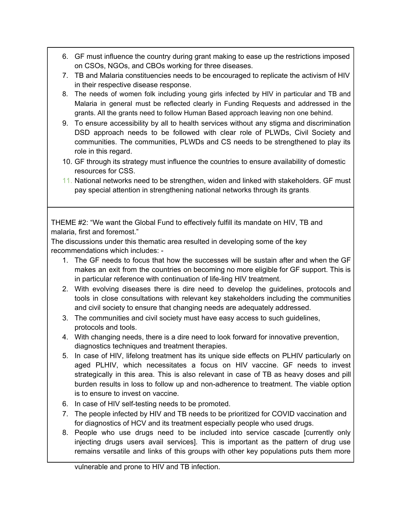- 6. GF must influence the country during grant making to ease up the restrictions imposed on CSOs, NGOs, and CBOs working for three diseases.
- 7. TB and Malaria constituencies needs to be encouraged to replicate the activism of HIV in their respective disease response.
- 8. The needs of women folk including young girls infected by HIV in particular and TB and Malaria in general must be reflected clearly in Funding Requests and addressed in the grants. All the grants need to follow Human Based approach leaving non one behind.
- 9. To ensure accessibility by all to health services without any stigma and discrimination DSD approach needs to be followed with clear role of PLWDs, Civil Society and communities. The communities, PLWDs and CS needs to be strengthened to play its role in this regard.
- 10. GF through its strategy must influence the countries to ensure availability of domestic resources for CSS.
- 11. National networks need to be strengthen, widen and linked with stakeholders. GF must pay special attention in strengthening national networks through its grants.

THEME #2: "We want the Global Fund to effectively fulfill its mandate on HIV, TB and malaria, first and foremost."

The discussions under this thematic area resulted in developing some of the key recommendations which includes: -

- 1. The GF needs to focus that how the successes will be sustain after and when the GF makes an exit from the countries on becoming no more eligible for GF support. This is in particular reference with continuation of life-ling HIV treatment.
- 2. With evolving diseases there is dire need to develop the guidelines, protocols and tools in close consultations with relevant key stakeholders including the communities and civil society to ensure that changing needs are adequately addressed.
- 3. The communities and civil society must have easy access to such guidelines, protocols and tools.
- 4. With changing needs, there is a dire need to look forward for innovative prevention, diagnostics techniques and treatment therapies.
- 5. In case of HIV, lifelong treatment has its unique side effects on PLHIV particularly on aged PLHIV, which necessitates a focus on HIV vaccine. GF needs to invest strategically in this area. This is also relevant in case of TB as heavy doses and pill burden results in loss to follow up and non-adherence to treatment. The viable option is to ensure to invest on vaccine.
- 6. In case of HIV self-testing needs to be promoted.
- 7. The people infected by HIV and TB needs to be prioritized for COVID vaccination and for diagnostics of HCV and its treatment especially people who used drugs.
- 8. People who use drugs need to be included into service cascade [currently only injecting drugs users avail services]. This is important as the pattern of drug use remains versatile and links of this groups with other key populations puts them more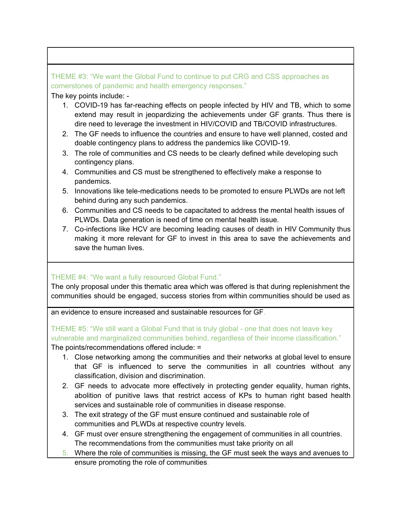# THEME #3: "We want the Global Fund to continue to put CRG and CSS approaches as cornerstones of pandemic and health emergency responses."

The key points include: -

- 1. COVID-19 has far-reaching effects on people infected by HIV and TB, which to some extend may result in jeopardizing the achievements under GF grants. Thus there is dire need to leverage the investment in HIV/COVID and TB/COVID infrastructures.
- 2. The GF needs to influence the countries and ensure to have well planned, costed and doable contingency plans to address the pandemics like COVID-19.
- 3. The role of communities and CS needs to be clearly defined while developing such contingency plans.
- 4. Communities and CS must be strengthened to effectively make a response to pandemics.
- 5. Innovations like tele-medications needs to be promoted to ensure PLWDs are not left behind during any such pandemics.
- 6. Communities and CS needs to be capacitated to address the mental health issues of PLWDs. Data generation is need of time on mental health issue.
- 7. Co-infections like HCV are becoming leading causes of death in HIV Community thus making it more relevant for GF to invest in this area to save the achievements and save the human lives.

## THEME #4: "We want a fully resourced Global Fund."

The only proposal under this thematic area which was offered is that during replenishment the communities should be engaged, success stories from within communities should be used as

an evidence to ensure increased and sustainable resources for GF.

THEME #5: "We still want a Global Fund that is truly global - one that does not leave key vulnerable and marginalized communities behind, regardless of their income classification." The points/recommendations offered include: =

- 1. Close networking among the communities and their networks at global level to ensure that GF is influenced to serve the communities in all countries without any classification, division and discrimination.
- 2. GF needs to advocate more effectively in protecting gender equality, human rights, abolition of punitive laws that restrict access of KPs to human right based health services and sustainable role of communities in disease response.
- 3. The exit strategy of the GF must ensure continued and sustainable role of communities and PLWDs at respective country levels.
- 4. GF must over ensure strengthening the engagement of communities in all countries. The recommendations from the communities must take priority on all
- 5. Where the role of communities is missing, the GF must seek the ways and avenues to ensure promoting the role of communities.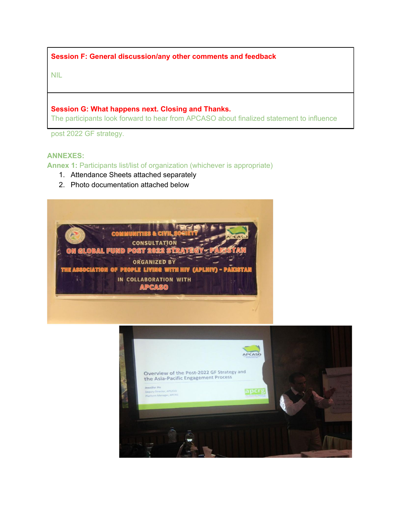## **Session F: General discussion/any other comments and feedback**

NIL

#### **Session G: What happens next. Closing and Thanks.**

The participants look forward to hear from APCASO about finalized statement to influence

post 2022 GF strategy.

#### **ANNEXES:**

**Annex 1:** Participants list/list of organization (whichever is appropriate)

- 1. Attendance Sheets attached separately
- 2. Photo documentation attached below



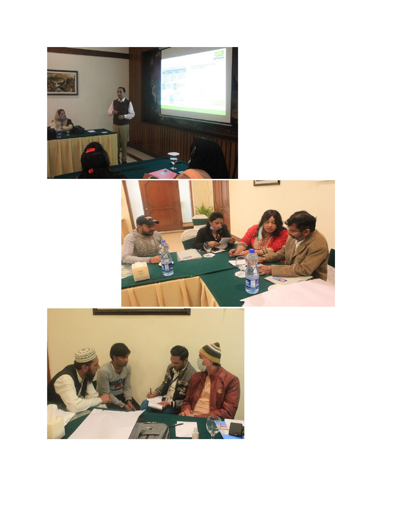



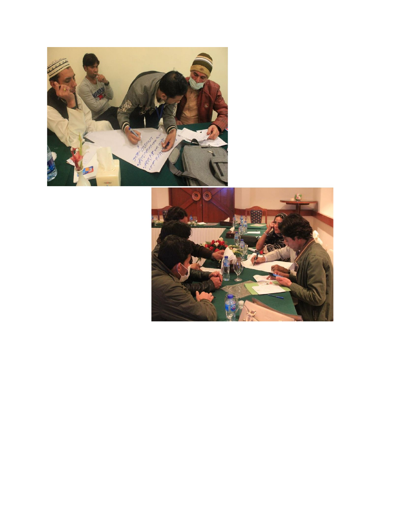